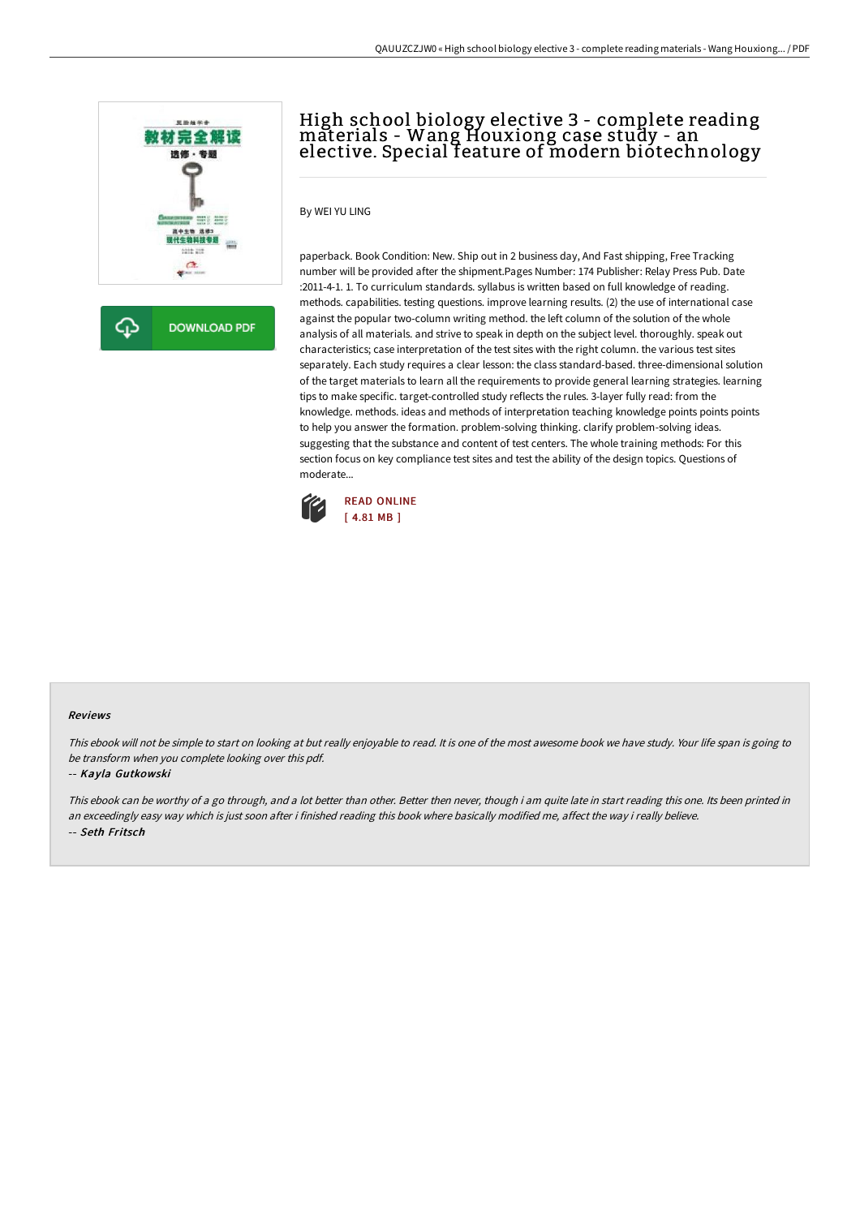

**DOWNLOAD PDF** 

# High school biology elective 3 - complete reading materials - Wang Houxiong case study - an elective. Special feature of modern biotechnology

### By WEI YU LING

paperback. Book Condition: New. Ship out in 2 business day, And Fast shipping, Free Tracking number will be provided after the shipment.Pages Number: 174 Publisher: Relay Press Pub. Date :2011-4-1. 1. To curriculum standards. syllabus is written based on full knowledge of reading. methods. capabilities. testing questions. improve learning results. (2) the use of international case against the popular two-column writing method. the left column of the solution of the whole analysis of all materials. and strive to speak in depth on the subject level. thoroughly. speak out characteristics; case interpretation of the test sites with the right column. the various test sites separately. Each study requires a clear lesson: the class standard-based. three-dimensional solution of the target materials to learn all the requirements to provide general learning strategies. learning tips to make specific. target-controlled study reflects the rules. 3-layer fully read: from the knowledge. methods. ideas and methods of interpretation teaching knowledge points points points to help you answer the formation. problem-solving thinking. clarify problem-solving ideas. suggesting that the substance and content of test centers. The whole training methods: For this section focus on key compliance test sites and test the ability of the design topics. Questions of moderate...



#### Reviews

This ebook will not be simple to start on looking at but really enjoyable to read. It is one of the most awesome book we have study. Your life span is going to be transform when you complete looking over this pdf.

#### -- Kayla Gutkowski

This ebook can be worthy of a go through, and a lot better than other. Better then never, though i am quite late in start reading this one. Its been printed in an exceedingly easy way which is just soon after i finished reading this book where basically modified me, affect the way i really believe. -- Seth Fritsch